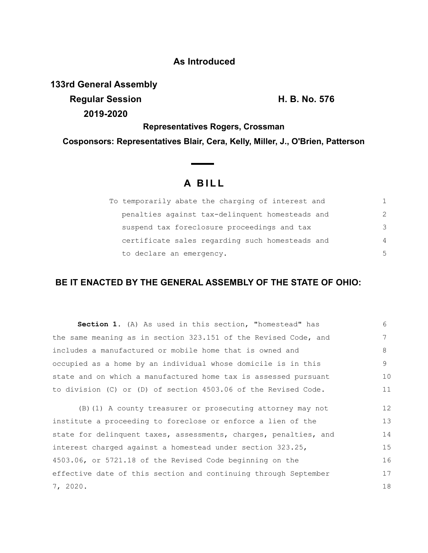## **As Introduced**

**133rd General Assembly**

**Regular Session H. B. No. 576 2019-2020**

**Representatives Rogers, Crossman**

**Cosponsors: Representatives Blair, Cera, Kelly, Miller, J., O'Brien, Patterson**

## **A B I L L**

| To temporarily abate the charging of interest and |                |
|---------------------------------------------------|----------------|
| penalties against tax-delinquent homesteads and   | $\mathcal{L}$  |
| suspend tax foreclosure proceedings and tax       | 3              |
| certificate sales regarding such homesteads and   | $\overline{4}$ |
| to declare an emergency.                          | .5             |

## **BE IT ENACTED BY THE GENERAL ASSEMBLY OF THE STATE OF OHIO:**

| <b>Section 1.</b> (A) As used in this section, "homestead" has  | ნ. |
|-----------------------------------------------------------------|----|
| the same meaning as in section 323.151 of the Revised Code, and | 7  |
| includes a manufactured or mobile home that is owned and        | 8  |
| occupied as a home by an individual whose domicile is in this   | 9  |
| state and on which a manufactured home tax is assessed pursuant | 10 |
| to division (C) or (D) of section 4503.06 of the Revised Code.  | 11 |

(B)(1) A county treasurer or prosecuting attorney may not institute a proceeding to foreclose or enforce a lien of the state for delinquent taxes, assessments, charges, penalties, and interest charged against a homestead under section 323.25, 4503.06, or 5721.18 of the Revised Code beginning on the effective date of this section and continuing through September 7, 2020. 12 13 14 15 16 17 18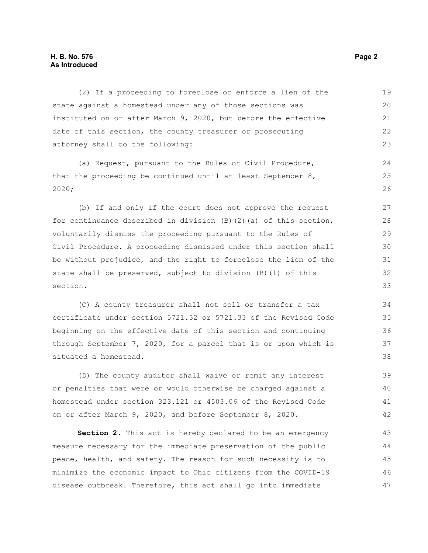## **H. B. No. 576 Page 2 As Introduced**

(2) If a proceeding to foreclose or enforce a lien of the state against a homestead under any of those sections was instituted on or after March 9, 2020, but before the effective date of this section, the county treasurer or prosecuting attorney shall do the following: 19 20 21 22 23

(a) Request, pursuant to the Rules of Civil Procedure, that the proceeding be continued until at least September 8, 2020;

(b) If and only if the court does not approve the request for continuance described in division  $(B)$   $(2)$   $(a)$  of this section, voluntarily dismiss the proceeding pursuant to the Rules of Civil Procedure. A proceeding dismissed under this section shall be without prejudice, and the right to foreclose the lien of the state shall be preserved, subject to division (B)(1) of this section.

(C) A county treasurer shall not sell or transfer a tax certificate under section 5721.32 or 5721.33 of the Revised Code beginning on the effective date of this section and continuing through September 7, 2020, for a parcel that is or upon which is situated a homestead.

(D) The county auditor shall waive or remit any interest or penalties that were or would otherwise be charged against a homestead under section 323.121 or 4503.06 of the Revised Code on or after March 9, 2020, and before September 8, 2020. 39 40 41 42

**Section 2.** This act is hereby declared to be an emergency measure necessary for the immediate preservation of the public peace, health, and safety. The reason for such necessity is to minimize the economic impact to Ohio citizens from the COVID-19 disease outbreak. Therefore, this act shall go into immediate 43 44 45 46 47

24 25 26